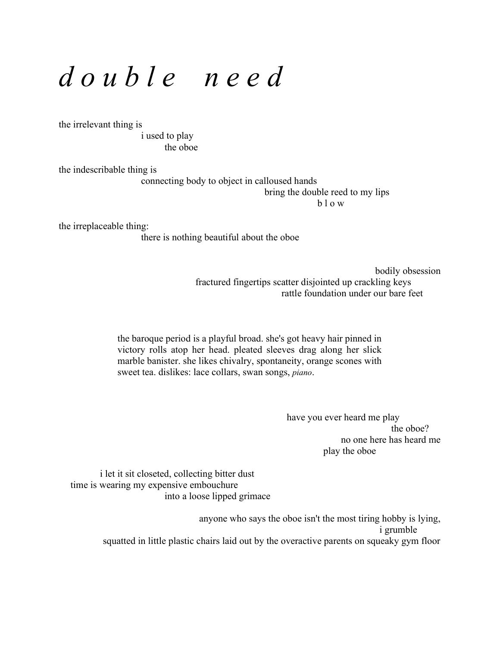d o u b l e n e e d

the irrelevant thing is

i used to play the oboe

the indescribable thing is connecting body to object in calloused hands bring the double reed to my lips b l o w

the irreplaceable thing:

there is nothing beautiful about the oboe

bodily obsession fractured fingertips scatter disjointed up crackling keys rattle foundation under our bare feet

the baroque period is a playful broad. she's got heavy hair pinned in victory rolls atop her head. pleated sleeves drag along her slick marble banister. she likes chivalry, spontaneity, orange scones with sweet tea. dislikes: lace collars, swan songs, piano.

> have you ever heard me play the oboe? no one here has heard me play the oboe

i let it sit closeted, collecting bitter dust time is wearing my expensive embouchure into a loose lipped grimace

> anyone who says the oboe isn't the most tiring hobby is lying, i grumble squatted in little plastic chairs laid out by the overactive parents on squeaky gym floor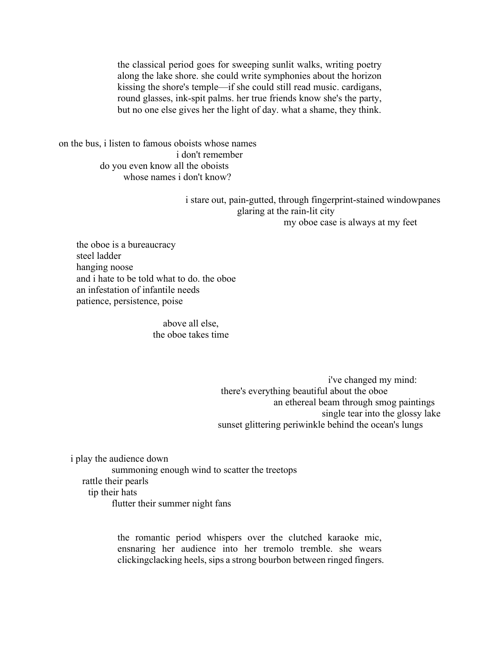the classical period goes for sweeping sunlit walks, writing poetry along the lake shore. she could write symphonies about the horizon kissing the shore's temple—if she could still read music. cardigans, round glasses, ink-spit palms. her true friends know she's the party, but no one else gives her the light of day. what a shame, they think.

on the bus, i listen to famous oboists whose names i don't remember do you even know all the oboists whose names i don't know?

> i stare out, pain-gutted, through fingerprint-stained windowpanes glaring at the rain-lit city my oboe case is always at my feet

the oboe is a bureaucracy steel ladder hanging noose and i hate to be told what to do. the oboe an infestation of infantile needs patience, persistence, poise

> above all else, the oboe takes time

> > i've changed my mind: there's everything beautiful about the oboe an ethereal beam through smog paintings single tear into the glossy lake sunset glittering periwinkle behind the ocean's lungs

i play the audience down summoning enough wind to scatter the treetops rattle their pearls tip their hats flutter their summer night fans

> the romantic period whispers over the clutched karaoke mic, ensnaring her audience into her tremolo tremble. she wears clickingclacking heels, sips a strong bourbon between ringed fingers.